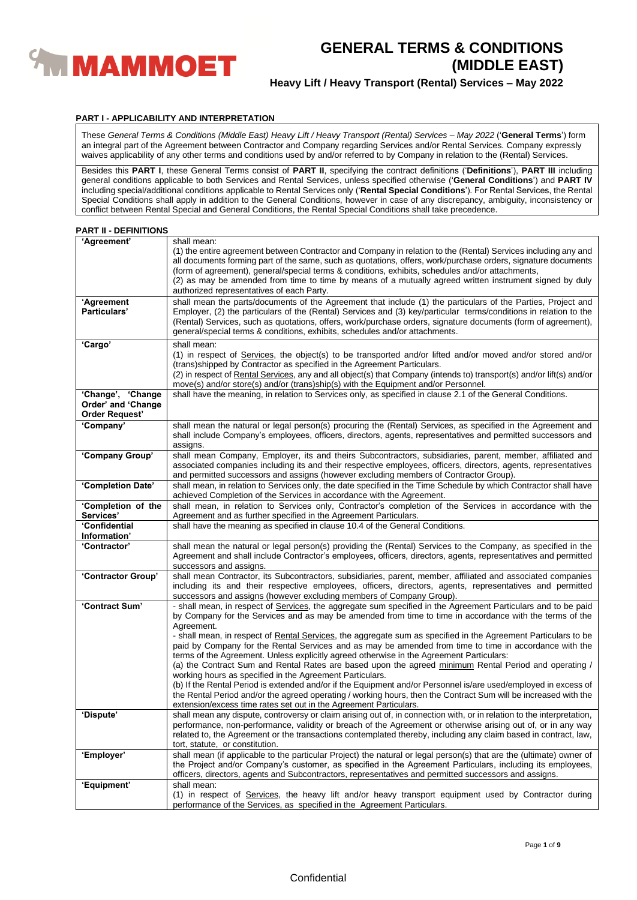

## **Heavy Lift / Heavy Transport (Rental) Services – May 2022**

### **PART I - APPLICABILITY AND INTERPRETATION**

These *General Terms & Conditions (Middle East) Heavy Lift / Heavy Transport (Rental) Services – May 2022* ('**General Terms**') form an integral part of the Agreement between Contractor and Company regarding Services and/or Rental Services. Company expressly waives applicability of any other terms and conditions used by and/or referred to by Company in relation to the (Rental) Services.

Besides this **PART I**, these General Terms consist of **PART II**, specifying the contract definitions ('**Definitions**'), **PART III** including general conditions applicable to both Services and Rental Services, unless specified otherwise ('**General Conditions**') and **PART IV** including special/additional conditions applicable to Rental Services only ('**Rental Special Conditions**'). For Rental Services, the Rental Special Conditions shall apply in addition to the General Conditions, however in case of any discrepancy, ambiguity, inconsistency or conflict between Rental Special and General Conditions, the Rental Special Conditions shall take precedence.

#### **PART II - DEFINITIONS**

| 'Agreement'                                                      | shall mean:<br>(1) the entire agreement between Contractor and Company in relation to the (Rental) Services including any and<br>all documents forming part of the same, such as quotations, offers, work/purchase orders, signature documents<br>(form of agreement), general/special terms & conditions, exhibits, schedules and/or attachments,<br>(2) as may be amended from time to time by means of a mutually agreed written instrument signed by duly<br>authorized representatives of each Party.                                                     |
|------------------------------------------------------------------|----------------------------------------------------------------------------------------------------------------------------------------------------------------------------------------------------------------------------------------------------------------------------------------------------------------------------------------------------------------------------------------------------------------------------------------------------------------------------------------------------------------------------------------------------------------|
| 'Agreement<br>Particulars'                                       | shall mean the parts/documents of the Agreement that include (1) the particulars of the Parties, Project and<br>Employer, (2) the particulars of the (Rental) Services and (3) key/particular terms/conditions in relation to the<br>(Rental) Services, such as quotations, offers, work/purchase orders, signature documents (form of agreement),<br>general/special terms & conditions, exhibits, schedules and/or attachments.                                                                                                                              |
| 'Cargo'                                                          | shall mean:<br>(1) in respect of Services, the object(s) to be transported and/or lifted and/or moved and/or stored and/or<br>(trans) shipped by Contractor as specified in the Agreement Particulars.<br>(2) in respect of Rental Services, any and all object(s) that Company (intends to) transport(s) and/or lift(s) and/or<br>move(s) and/or store(s) and/or (trans)ship(s) with the Equipment and/or Personnel.                                                                                                                                          |
| 'Change', 'Change<br>Order' and 'Change<br><b>Order Request'</b> | shall have the meaning, in relation to Services only, as specified in clause 2.1 of the General Conditions.                                                                                                                                                                                                                                                                                                                                                                                                                                                    |
| 'Company'                                                        | shall mean the natural or legal person(s) procuring the (Rental) Services, as specified in the Agreement and<br>shall include Company's employees, officers, directors, agents, representatives and permitted successors and<br>assigns.                                                                                                                                                                                                                                                                                                                       |
| 'Company Group'                                                  | shall mean Company, Employer, its and theirs Subcontractors, subsidiaries, parent, member, affiliated and<br>associated companies including its and their respective employees, officers, directors, agents, representatives<br>and permitted successors and assigns (however excluding members of Contractor Group).                                                                                                                                                                                                                                          |
| 'Completion Date'                                                | shall mean, in relation to Services only, the date specified in the Time Schedule by which Contractor shall have<br>achieved Completion of the Services in accordance with the Agreement.                                                                                                                                                                                                                                                                                                                                                                      |
| 'Completion of the<br>Services'                                  | shall mean, in relation to Services only, Contractor's completion of the Services in accordance with the<br>Agreement and as further specified in the Agreement Particulars.                                                                                                                                                                                                                                                                                                                                                                                   |
| 'Confidential<br>Information'                                    | shall have the meaning as specified in clause 10.4 of the General Conditions.                                                                                                                                                                                                                                                                                                                                                                                                                                                                                  |
| 'Contractor'                                                     | shall mean the natural or legal person(s) providing the (Rental) Services to the Company, as specified in the<br>Agreement and shall include Contractor's employees, officers, directors, agents, representatives and permitted<br>successors and assigns.                                                                                                                                                                                                                                                                                                     |
| 'Contractor Group'                                               | shall mean Contractor, its Subcontractors, subsidiaries, parent, member, affiliated and associated companies<br>including its and their respective employees, officers, directors, agents, representatives and permitted<br>successors and assigns (however excluding members of Company Group).                                                                                                                                                                                                                                                               |
| 'Contract Sum'                                                   | - shall mean, in respect of Services, the aggregate sum specified in the Agreement Particulars and to be paid<br>by Company for the Services and as may be amended from time to time in accordance with the terms of the<br>Agreement.<br>- shall mean, in respect of Rental Services, the aggregate sum as specified in the Agreement Particulars to be<br>paid by Company for the Rental Services and as may be amended from time to time in accordance with the<br>terms of the Agreement. Unless explicitly agreed otherwise in the Agreement Particulars: |
|                                                                  | (a) the Contract Sum and Rental Rates are based upon the agreed minimum Rental Period and operating /<br>working hours as specified in the Agreement Particulars.<br>(b) If the Rental Period is extended and/or if the Equipment and/or Personnel is/are used/employed in excess of<br>the Rental Period and/or the agreed operating / working hours, then the Contract Sum will be increased with the<br>extension/excess time rates set out in the Agreement Particulars.                                                                                   |
| 'Dispute'                                                        | shall mean any dispute, controversy or claim arising out of, in connection with, or in relation to the interpretation,<br>performance, non-performance, validity or breach of the Agreement or otherwise arising out of, or in any way<br>related to, the Agreement or the transactions contemplated thereby, including any claim based in contract, law,<br>tort, statute, or constitution.                                                                                                                                                                   |
| 'Employer'                                                       | shall mean (if applicable to the particular Project) the natural or legal person(s) that are the (ultimate) owner of<br>the Project and/or Company's customer, as specified in the Agreement Particulars, including its employees,<br>officers, directors, agents and Subcontractors, representatives and permitted successors and assigns.                                                                                                                                                                                                                    |
| 'Equipment'                                                      | shall mean:<br>(1) in respect of Services, the heavy lift and/or heavy transport equipment used by Contractor during<br>performance of the Services, as specified in the Agreement Particulars.                                                                                                                                                                                                                                                                                                                                                                |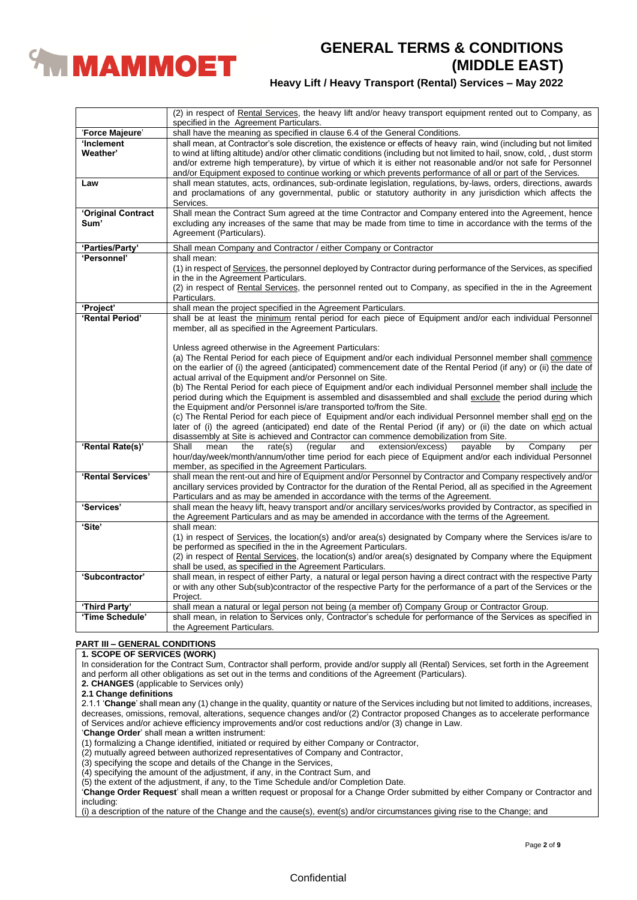

## **Heavy Lift / Heavy Transport (Rental) Services – May 2022**

|                    | (2) in respect of Rental Services, the heavy lift and/or heavy transport equipment rented out to Company, as<br>specified in the Agreement Particulars. |
|--------------------|---------------------------------------------------------------------------------------------------------------------------------------------------------|
| 'Force Majeure'    | shall have the meaning as specified in clause 6.4 of the General Conditions.                                                                            |
| 'Inclement         | shall mean, at Contractor's sole discretion, the existence or effects of heavy rain, wind (including but not limited                                    |
| Weather'           | to wind at lifting altitude) and/or other climatic conditions (including but not limited to hail, snow, cold,, dust storm                               |
|                    | and/or extreme high temperature), by virtue of which it is either not reasonable and/or not safe for Personnel                                          |
|                    | and/or Equipment exposed to continue working or which prevents performance of all or part of the Services.                                              |
| Law                | shall mean statutes, acts, ordinances, sub-ordinate legislation, regulations, by-laws, orders, directions, awards                                       |
|                    | and proclamations of any governmental, public or statutory authority in any jurisdiction which affects the                                              |
|                    | Services.                                                                                                                                               |
| 'Original Contract | Shall mean the Contract Sum agreed at the time Contractor and Company entered into the Agreement, hence                                                 |
| Sum'               | excluding any increases of the same that may be made from time to time in accordance with the terms of the                                              |
|                    | Agreement (Particulars).                                                                                                                                |
|                    |                                                                                                                                                         |
| 'Parties/Party'    | Shall mean Company and Contractor / either Company or Contractor                                                                                        |
| 'Personnel'        | shall mean:                                                                                                                                             |
|                    | (1) in respect of Services, the personnel deployed by Contractor during performance of the Services, as specified                                       |
|                    | in the in the Agreement Particulars.                                                                                                                    |
|                    | (2) in respect of Rental Services, the personnel rented out to Company, as specified in the in the Agreement                                            |
|                    | Particulars.                                                                                                                                            |
| 'Project'          | shall mean the project specified in the Agreement Particulars.                                                                                          |
| 'Rental Period'    | shall be at least the minimum rental period for each piece of Equipment and/or each individual Personnel                                                |
|                    | member, all as specified in the Agreement Particulars.                                                                                                  |
|                    |                                                                                                                                                         |
|                    | Unless agreed otherwise in the Agreement Particulars:                                                                                                   |
|                    | (a) The Rental Period for each piece of Equipment and/or each individual Personnel member shall commence                                                |
|                    | on the earlier of (i) the agreed (anticipated) commencement date of the Rental Period (if any) or (ii) the date of                                      |
|                    | actual arrival of the Equipment and/or Personnel on Site.                                                                                               |
|                    | (b) The Rental Period for each piece of Equipment and/or each individual Personnel member shall include the                                             |
|                    | period during which the Equipment is assembled and disassembled and shall exclude the period during which                                               |
|                    | the Equipment and/or Personnel is/are transported to/from the Site.                                                                                     |
|                    | (c) The Rental Period for each piece of Equipment and/or each individual Personnel member shall end on the                                              |
|                    | later of (i) the agreed (anticipated) end date of the Rental Period (if any) or (ii) the date on which actual                                           |
|                    | disassembly at Site is achieved and Contractor can commence demobilization from Site.                                                                   |
| 'Rental Rate(s)'   | Shall<br>mean<br>by<br>Company<br>the<br>rate(s)<br>(regular<br>and<br>extension/excess)<br>payable<br>per                                              |
|                    | hour/day/week/month/annum/other time period for each piece of Equipment and/or each individual Personnel                                                |
|                    | member, as specified in the Agreement Particulars.                                                                                                      |
| 'Rental Services'  | shall mean the rent-out and hire of Equipment and/or Personnel by Contractor and Company respectively and/or                                            |
|                    | ancillary services provided by Contractor for the duration of the Rental Period, all as specified in the Agreement                                      |
|                    | Particulars and as may be amended in accordance with the terms of the Agreement.                                                                        |
| 'Services'         | shall mean the heavy lift, heavy transport and/or ancillary services/works provided by Contractor, as specified in                                      |
|                    | the Agreement Particulars and as may be amended in accordance with the terms of the Agreement.                                                          |
| 'Site'             | shall mean:                                                                                                                                             |
|                    | (1) in respect of Services, the location(s) and/or area(s) designated by Company where the Services is/are to                                           |
|                    | be performed as specified in the in the Agreement Particulars.                                                                                          |
|                    | (2) in respect of Rental Services, the location(s) and/or area(s) designated by Company where the Equipment                                             |
|                    | shall be used, as specified in the Agreement Particulars.                                                                                               |
| 'Subcontractor'    | shall mean, in respect of either Party, a natural or legal person having a direct contract with the respective Party                                    |
|                    | or with any other Sub(sub)contractor of the respective Party for the performance of a part of the Services or the                                       |
|                    | Project.                                                                                                                                                |
| 'Third Party'      | shall mean a natural or legal person not being (a member of) Company Group or Contractor Group.                                                         |
| 'Time Schedule'    | shall mean, in relation to Services only, Contractor's schedule for performance of the Services as specified in                                         |
|                    | the Agreement Particulars.                                                                                                                              |

## **PART III – GENERAL CONDITIONS**

## **1. SCOPE OF SERVICES (WORK)**

In consideration for the Contract Sum, Contractor shall perform, provide and/or supply all (Rental) Services, set forth in the Agreement and perform all other obligations as set out in the terms and conditions of the Agreement (Particulars).

**2. CHANGES** (applicable to Services only)

**2.1 Change definitions**

2.1.1 '**Change**' shall mean any (1) change in the quality, quantity or nature of the Services including but not limited to additions, increases, decreases, omissions, removal, alterations, sequence changes and/or (2) Contractor proposed Changes as to accelerate performance of Services and/or achieve efficiency improvements and/or cost reductions and/or (3) change in Law.

'**Change Order**' shall mean a written instrument:

(1) formalizing a Change identified, initiated or required by either Company or Contractor,

(2) mutually agreed between authorized representatives of Company and Contractor,

(3) specifying the scope and details of the Change in the Services,

(4) specifying the amount of the adjustment, if any, in the Contract Sum, and

(5) the extent of the adjustment, if any, to the Time Schedule and/or Completion Date.

'**Change Order Request**' shall mean a written request or proposal for a Change Order submitted by either Company or Contractor and including:

(i) a description of the nature of the Change and the cause(s), event(s) and/or circumstances giving rise to the Change; and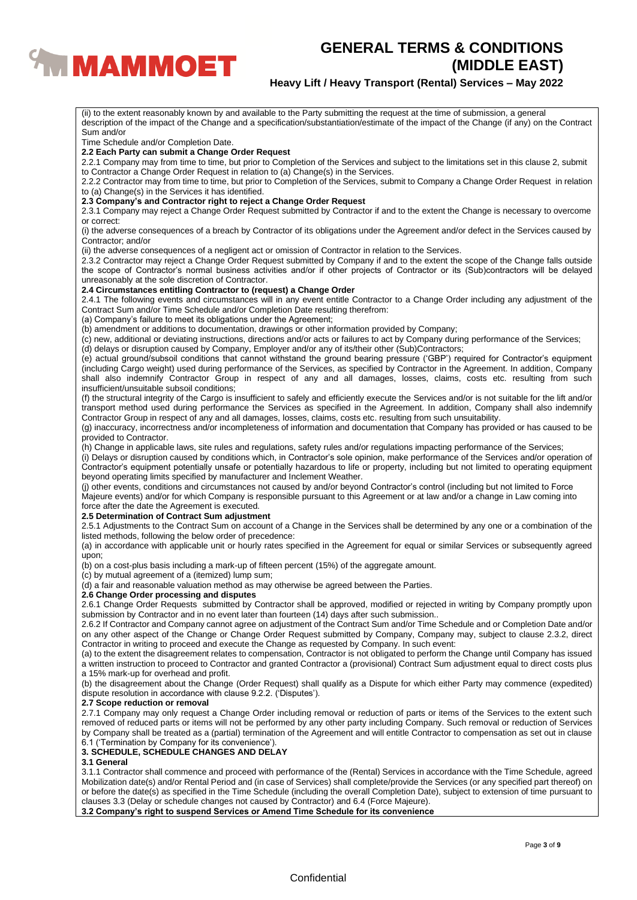

## **Heavy Lift / Heavy Transport (Rental) Services – May 2022**

Sum and/or Time Schedule and/or Completion Date. **2.2 Each Party can submit a Change Order Request** 2.2.1 Company may from time to time, but prior to Completion of the Services and subject to the limitations set in this clause 2, submit to Contractor a Change Order Request in relation to (a) Change(s) in the Services. 2.2.2 Contractor may from time to time, but prior to Completion of the Services, submit to Company a Change Order Request in relation to (a) Change(s) in the Services it has identified. **2.3 Company's and Contractor right to reject a Change Order Request** 2.3.1 Company may reject a Change Order Request submitted by Contractor if and to the extent the Change is necessary to overcome or correct: (i) the adverse consequences of a breach by Contractor of its obligations under the Agreement and/or defect in the Services caused by Contractor; and/or (ii) the adverse consequences of a negligent act or omission of Contractor in relation to the Services. 2.3.2 Contractor may reject a Change Order Request submitted by Company if and to the extent the scope of the Change falls outside the scope of Contractor's normal business activities and/or if other projects of Contractor or its (Sub)contractors will be delayed unreasonably at the sole discretion of Contractor. **2.4 Circumstances entitling Contractor to (request) a Change Order** 2.4.1 The following events and circumstances will in any event entitle Contractor to a Change Order including any adjustment of the Contract Sum and/or Time Schedule and/or Completion Date resulting therefrom: (a) Company's failure to meet its obligations under the Agreement; (b) amendment or additions to documentation, drawings or other information provided by Company; (c) new, additional or deviating instructions, directions and/or acts or failures to act by Company during performance of the Services; (d) delays or disruption caused by Company, Employer and/or any of its/their other (Sub)Contractors; (e) actual ground/subsoil conditions that cannot withstand the ground bearing pressure ('GBP') required for Contractor's equipment (including Cargo weight) used during performance of the Services, as specified by Contractor in the Agreement. In addition, Company shall also indemnify Contractor Group in respect of any and all damages, losses, claims, costs etc. resulting from such insufficient/unsuitable subsoil conditions; (f) the structural integrity of the Cargo is insufficient to safely and efficiently execute the Services and/or is not suitable for the lift and/or transport method used during performance the Services as specified in the Agreement. In addition, Company shall also indemnify Contractor Group in respect of any and all damages, losses, claims, costs etc. resulting from such unsuitability. (g) inaccuracy, incorrectness and/or incompleteness of information and documentation that Company has provided or has caused to be provided to Contractor. (h) Change in applicable laws, site rules and regulations, safety rules and/or regulations impacting performance of the Services; (i) Delays or disruption caused by conditions which, in Contractor's sole opinion, make performance of the Services and/or operation of Contractor's equipment potentially unsafe or potentially hazardous to life or property, including but not limited to operating equipment beyond operating limits specified by manufacturer and Inclement Weather. (j) other events, conditions and circumstances not caused by and/or beyond Contractor's control (including but not limited to Force Majeure events) and/or for which Company is responsible pursuant to this Agreement or at law and/or a change in Law coming into force after the date the Agreement is executed. **2.5 Determination of Contract Sum adjustment** 2.5.1 Adjustments to the Contract Sum on account of a Change in the Services shall be determined by any one or a combination of the listed methods, following the below order of precedence: (a) in accordance with applicable unit or hourly rates specified in the Agreement for equal or similar Services or subsequently agreed upon;

(ii) to the extent reasonably known by and available to the Party submitting the request at the time of submission, a general

description of the impact of the Change and a specification/substantiation/estimate of the impact of the Change (if any) on the Contract

(b) on a cost-plus basis including a mark-up of fifteen percent (15%) of the aggregate amount.

(c) by mutual agreement of a (itemized) lump sum;

(d) a fair and reasonable valuation method as may otherwise be agreed between the Parties.

## **2.6 Change Order processing and disputes**

2.6.1 Change Order Requests submitted by Contractor shall be approved, modified or rejected in writing by Company promptly upon submission by Contractor and in no event later than fourteen (14) days after such submission..

2.6.2 If Contractor and Company cannot agree on adjustment of the Contract Sum and/or Time Schedule and or Completion Date and/or on any other aspect of the Change or Change Order Request submitted by Company, Company may, subject to clause 2.3.2, direct Contractor in writing to proceed and execute the Change as requested by Company. In such event:

(a) to the extent the disagreement relates to compensation, Contractor is not obligated to perform the Change until Company has issued a written instruction to proceed to Contractor and granted Contractor a (provisional) Contract Sum adjustment equal to direct costs plus a 15% mark-up for overhead and profit.

(b) the disagreement about the Change (Order Request) shall qualify as a Dispute for which either Party may commence (expedited) dispute resolution in accordance with clause 9.2.2. ('Disputes').

#### **2.7 Scope reduction or removal**

2.7.1 Company may only request a Change Order including removal or reduction of parts or items of the Services to the extent such removed of reduced parts or items will not be performed by any other party including Company. Such removal or reduction of Services by Company shall be treated as a (partial) termination of the Agreement and will entitle Contractor to compensation as set out in clause 6.1 ('Termination by Company for its convenience').

#### **3. SCHEDULE, SCHEDULE CHANGES AND DELAY**

### **3.1 General**

3.1.1 Contractor shall commence and proceed with performance of the (Rental) Services in accordance with the Time Schedule, agreed Mobilization date(s) and/or Rental Period and (in case of Services) shall complete/provide the Services (or any specified part thereof) on or before the date(s) as specified in the Time Schedule (including the overall Completion Date), subject to extension of time pursuant to clauses 3.3 (Delay or schedule changes not caused by Contractor) and 6.4 (Force Majeure).

**3.2 Company's right to suspend Services or Amend Time Schedule for its convenience**

### **Confidential**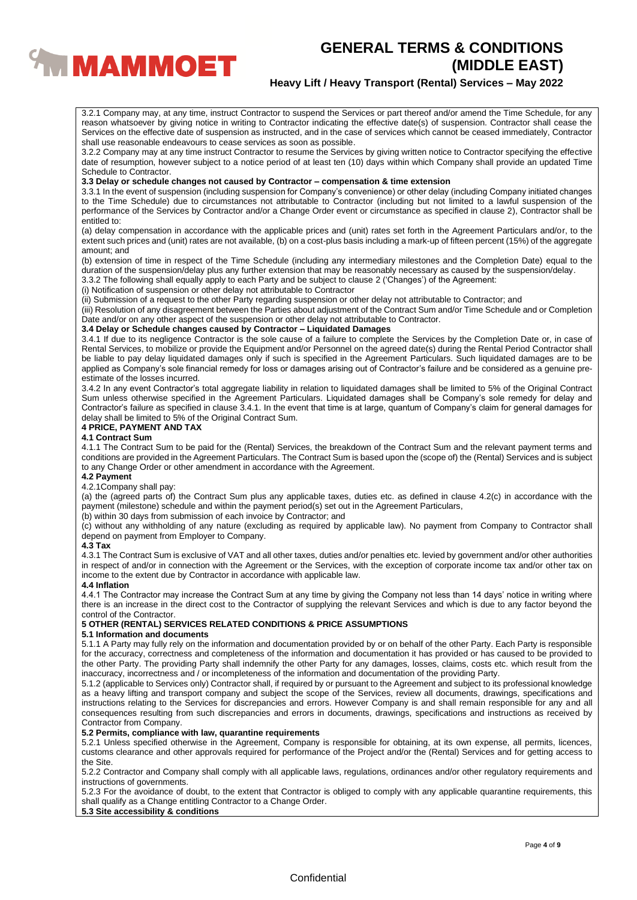

## **Heavy Lift / Heavy Transport (Rental) Services – May 2022**

3.2.1 Company may, at any time, instruct Contractor to suspend the Services or part thereof and/or amend the Time Schedule, for any reason whatsoever by giving notice in writing to Contractor indicating the effective date(s) of suspension. Contractor shall cease the Services on the effective date of suspension as instructed, and in the case of services which cannot be ceased immediately, Contractor shall use reasonable endeavours to cease services as soon as possible.

3.2.2 Company may at any time instruct Contractor to resume the Services by giving written notice to Contractor specifying the effective date of resumption, however subject to a notice period of at least ten (10) days within which Company shall provide an updated Time Schedule to Contractor.

### **3.3 Delay or schedule changes not caused by Contractor – compensation & time extension**

3.3.1 In the event of suspension (including suspension for Company's convenience) or other delay (including Company initiated changes to the Time Schedule) due to circumstances not attributable to Contractor (including but not limited to a lawful suspension of the performance of the Services by Contractor and/or a Change Order event or circumstance as specified in clause 2), Contractor shall be entitled to:

(a) delay compensation in accordance with the applicable prices and (unit) rates set forth in the Agreement Particulars and/or, to the extent such prices and (unit) rates are not available, (b) on a cost-plus basis including a mark-up of fifteen percent (15%) of the aggregate amount; and

(b) extension of time in respect of the Time Schedule (including any intermediary milestones and the Completion Date) equal to the duration of the suspension/delay plus any further extension that may be reasonably necessary as caused by the suspension/delay.

3.3.2 The following shall equally apply to each Party and be subject to clause 2 ('Changes') of the Agreement:

(i) Notification of suspension or other delay not attributable to Contractor

(ii) Submission of a request to the other Party regarding suspension or other delay not attributable to Contractor; and

(iii) Resolution of any disagreement between the Parties about adjustment of the Contract Sum and/or Time Schedule and or Completion Date and/or on any other aspect of the suspension or other delay not attributable to Contractor.

#### **3.4 Delay or Schedule changes caused by Contractor – Liquidated Damages**

3.4.1 If due to its negligence Contractor is the sole cause of a failure to complete the Services by the Completion Date or, in case of Rental Services, to mobilize or provide the Equipment and/or Personnel on the agreed date(s) during the Rental Period Contractor shall be liable to pay delay liquidated damages only if such is specified in the Agreement Particulars. Such liquidated damages are to be applied as Company's sole financial remedy for loss or damages arising out of Contractor's failure and be considered as a genuine preestimate of the losses incurred.

3.4.2 In any event Contractor's total aggregate liability in relation to liquidated damages shall be limited to 5% of the Original Contract Sum unless otherwise specified in the Agreement Particulars. Liquidated damages shall be Company's sole remedy for delay and Contractor's failure as specified in clause 3.4.1. In the event that time is at large, quantum of Company's claim for general damages for delay shall be limited to 5% of the Original Contract Sum.

#### **4 PRICE, PAYMENT AND TAX**

#### **4.1 Contract Sum**

4.1.1 The Contract Sum to be paid for the (Rental) Services, the breakdown of the Contract Sum and the relevant payment terms and conditions are provided in the Agreement Particulars. The Contract Sum is based upon the (scope of) the (Rental) Services and is subject to any Change Order or other amendment in accordance with the Agreement.

#### **4.2 Payment**

#### 4.2.1Company shall pay:

(a) the (agreed parts of) the Contract Sum plus any applicable taxes, duties etc. as defined in clause 4.2(c) in accordance with the payment (milestone) schedule and within the payment period(s) set out in the Agreement Particulars,

(b) within 30 days from submission of each invoice by Contractor; and

(c) without any withholding of any nature (excluding as required by applicable law). No payment from Company to Contractor shall depend on payment from Employer to Company.

#### **4.3 Tax**

4.3.1 The Contract Sum is exclusive of VAT and all other taxes, duties and/or penalties etc. levied by government and/or other authorities in respect of and/or in connection with the Agreement or the Services, with the exception of corporate income tax and/or other tax on income to the extent due by Contractor in accordance with applicable law.

### **4.4 Inflation**

4.4.1 The Contractor may increase the Contract Sum at any time by giving the Company not less than 14 days' notice in writing where there is an increase in the direct cost to the Contractor of supplying the relevant Services and which is due to any factor beyond the control of the Contractor.

## **5 OTHER (RENTAL) SERVICES RELATED CONDITIONS & PRICE ASSUMPTIONS**

#### **5.1 Information and documents**

5.1.1 A Party may fully rely on the information and documentation provided by or on behalf of the other Party. Each Party is responsible for the accuracy, correctness and completeness of the information and documentation it has provided or has caused to be provided to the other Party. The providing Party shall indemnify the other Party for any damages, losses, claims, costs etc. which result from the inaccuracy, incorrectness and / or incompleteness of the information and documentation of the providing Party.

5.1.2 (applicable to Services only) Contractor shall, if required by or pursuant to the Agreement and subject to its professional knowledge as a heavy lifting and transport company and subject the scope of the Services, review all documents, drawings, specifications and instructions relating to the Services for discrepancies and errors. However Company is and shall remain responsible for any and all consequences resulting from such discrepancies and errors in documents, drawings, specifications and instructions as received by Contractor from Company.

## **5.2 Permits, compliance with law, quarantine requirements**

5.2.1 Unless specified otherwise in the Agreement, Company is responsible for obtaining, at its own expense, all permits, licences, customs clearance and other approvals required for performance of the Project and/or the (Rental) Services and for getting access to the Site.

5.2.2 Contractor and Company shall comply with all applicable laws, regulations, ordinances and/or other regulatory requirements and instructions of governments.

5.2.3 For the avoidance of doubt, to the extent that Contractor is obliged to comply with any applicable quarantine requirements, this shall qualify as a Change entitling Contractor to a Change Order.

## **5.3 Site accessibility & conditions**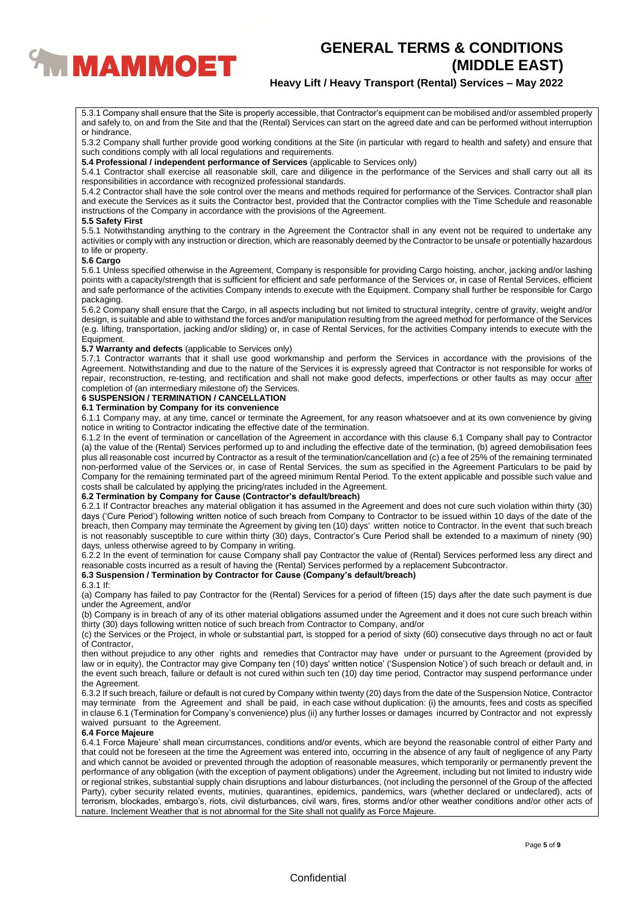

## **Heavy Lift / Heavy Transport (Rental) Services – May 2022**

5.3.1 Company shall ensure that the Site is properly accessible, that Contractor's equipment can be mobilised and/or assembled properly and safely to, on and from the Site and that the (Rental) Services can start on the agreed date and can be performed without interruption or hindrance.

5.3.2 Company shall further provide good working conditions at the Site (in particular with regard to health and safety) and ensure that such conditions comply with all local regulations and requirements.

**5.4 Professional / independent performance of Services** (applicable to Services only)

5.4.1 Contractor shall exercise all reasonable skill, care and diligence in the performance of the Services and shall carry out all its responsibilities in accordance with recognized professional standards.

5.4.2 Contractor shall have the sole control over the means and methods required for performance of the Services. Contractor shall plan and execute the Services as it suits the Contractor best, provided that the Contractor complies with the Time Schedule and reasonable instructions of the Company in accordance with the provisions of the Agreement.

#### **5.5 Safety First**

5.5.1 Notwithstanding anything to the contrary in the Agreement the Contractor shall in any event not be required to undertake any activities or comply with any instruction or direction, which are reasonably deemed by the Contractor to be unsafe or potentially hazardous to life or property.

#### **5.6 Cargo**

5.6.1 Unless specified otherwise in the Agreement, Company is responsible for providing Cargo hoisting, anchor, jacking and/or lashing points with a capacity/strength that is sufficient for efficient and safe performance of the Services or, in case of Rental Services, efficient and safe performance of the activities Company intends to execute with the Equipment. Company shall further be responsible for Cargo packaging.

5.6.2 Company shall ensure that the Cargo, in all aspects including but not limited to structural integrity, centre of gravity, weight and/or design, is suitable and able to withstand the forces and/or manipulation resulting from the agreed method for performance of the Services (e.g. lifting, transportation, jacking and/or sliding) or, in case of Rental Services, for the activities Company intends to execute with the Equipment.

#### **5.7 Warranty and defects** (applicable to Services only)

5.7.1 Contractor warrants that it shall use good workmanship and perform the Services in accordance with the provisions of the Agreement. Notwithstanding and due to the nature of the Services it is expressly agreed that Contractor is not responsible for works of repair, reconstruction, re-testing, and rectification and shall not make good defects, imperfections or other faults as may occur after completion of (an intermediary milestone of) the Services.

## **6 SUSPENSION / TERMINATION / CANCELLATION**

## **6.1 Termination by Company for its convenience**

6.1.1 Company may, at any time, cancel or terminate the Agreement, for any reason whatsoever and at its own convenience by giving notice in writing to Contractor indicating the effective date of the termination.

6.1.2 In the event of termination or cancellation of the Agreement in accordance with this clause 6.1 Company shall pay to Contractor (a) the value of the (Rental) Services performed up to and including the effective date of the termination, (b) agreed demobilisation fees plus all reasonable cost incurred by Contractor as a result of the termination/cancellation and (c) a fee of 25% of the remaining terminated non-performed value of the Services or, in case of Rental Services, the sum as specified in the Agreement Particulars to be paid by Company for the remaining terminated part of the agreed minimum Rental Period. To the extent applicable and possible such value and costs shall be calculated by applying the pricing/rates included in the Agreement.

#### **6.2 Termination by Company for Cause (Contractor's default/breach)**

6.2.1 If Contractor breaches any material obligation it has assumed in the Agreement and does not cure such violation within thirty (30) days ('Cure Period') following written notice of such breach from Company to Contractor to be issued within 10 days of the date of the breach, then Company may terminate the Agreement by giving ten (10) days' written notice to Contractor. ln the event that such breach is not reasonably susceptible to cure within thirty (30) days, Contractor's Cure Period shall be extended to a maximum of ninety (90) days, unless otherwise agreed to by Company in writing.

6.2.2 In the event of termination for cause Company shall pay Contractor the value of (Rental) Services performed less any direct and reasonable costs incurred as a result of having the (Rental) Services performed by a replacement Subcontractor.

## **6.3 Suspension / Termination by Contractor for Cause (Company's default/breach)**

#### 6.3.1 If:

(a) Company has failed to pay Contractor for the (Rental) Services for a period of fifteen (15) days after the date such payment is due under the Agreement, and/or

(b) Company is in breach of any of its other material obligations assumed under the Agreement and it does not cure such breach within thirty (30) days following written notice of such breach from Contractor to Company, and/or

(c) the Services or the Project, in whole or substantial part, is stopped for a period of sixty (60) consecutive days through no act or fault of Contractor,

then without prejudice to any other rights and remedies that Contractor may have under or pursuant to the Agreement (provided by law or in equity), the Contractor may give Company ten (10) days' written notice' ('Suspension Notice') of such breach or default and, in the event such breach, failure or default is not cured within such ten (10) day time period, Contractor may suspend performance under the Agreement.

6.3.2 If such breach, failure or default is not cured by Company within twenty (20) days from the date of the Suspension Notice, Contractor may terminate from the Agreement and shall be paid, in each case without duplication: (i) the amounts, fees and costs as specified in clause 6.1 (Termination for Company's convenience) plus (ii) any further losses or damages incurred by Contractor and not expressly waived pursuant to the Agreement.

### **6.4 Force Majeure**

6.4.1 Force Majeure' shall mean circumstances, conditions and/or events, which are beyond the reasonable control of either Party and that could not be foreseen at the time the Agreement was entered into, occurring in the absence of any fault of negligence of any Party and which cannot be avoided or prevented through the adoption of reasonable measures, which temporarily or permanently prevent the performance of any obligation (with the exception of payment obligations) under the Agreement, including but not limited to industry wide or regional strikes, substantial supply chain disruptions and labour disturbances, (not including the personnel of the Group of the affected Party), cyber security related events, mutinies, quarantines, epidemics, pandemics, wars (whether declared or undeclared), acts of terrorism, blockades, embargo's, riots, civil disturbances, civil wars, fires, storms and/or other weather conditions and/or other acts of nature. Inclement Weather that is not abnormal for the Site shall not qualify as Force Majeure.

### **Confidential**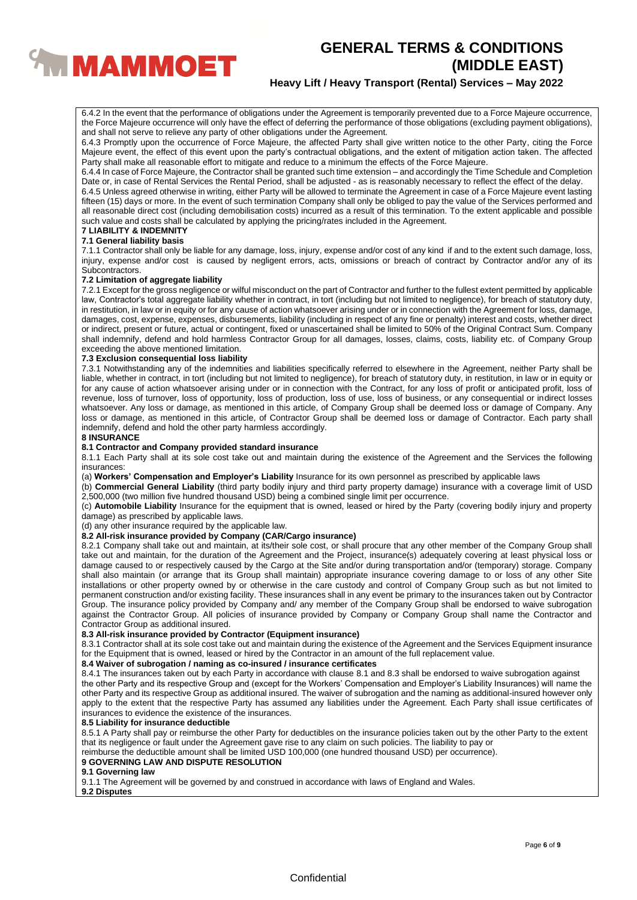

## **Heavy Lift / Heavy Transport (Rental) Services – May 2022**

6.4.2 In the event that the performance of obligations under the Agreement is temporarily prevented due to a Force Majeure occurrence, the Force Majeure occurrence will only have the effect of deferring the performance of those obligations (excluding payment obligations), and shall not serve to relieve any party of other obligations under the Agreement.

6.4.3 Promptly upon the occurrence of Force Majeure, the affected Party shall give written notice to the other Party, citing the Force Majeure event, the effect of this event upon the party's contractual obligations, and the extent of mitigation action taken. The affected Party shall make all reasonable effort to mitigate and reduce to a minimum the effects of the Force Majeure.

6.4.4 In case of Force Majeure, the Contractor shall be granted such time extension – and accordingly the Time Schedule and Completion Date or, in case of Rental Services the Rental Period, shall be adjusted - as is reasonably necessary to reflect the effect of the delay.

6.4.5 Unless agreed otherwise in writing, either Party will be allowed to terminate the Agreement in case of a Force Majeure event lasting fifteen (15) days or more. In the event of such termination Company shall only be obliged to pay the value of the Services performed and all reasonable direct cost (including demobilisation costs) incurred as a result of this termination. To the extent applicable and possible such value and costs shall be calculated by applying the pricing/rates included in the Agreement.

#### **7 LIABILITY & INDEMNITY 7.1 General liability basis**

7.1.1 Contractor shall only be liable for any damage, loss, injury, expense and/or cost of any kind if and to the extent such damage, loss, injury, expense and/or cost is caused by negligent errors, acts, omissions or breach of contract by Contractor and/or any of its Subcontractors.

#### **7.2 Limitation of aggregate liability**

7.2.1 Except for the gross negligence or wilful misconduct on the part of Contractor and further to the fullest extent permitted by applicable law, Contractor's total aggregate liability whether in contract, in tort (including but not limited to negligence), for breach of statutory duty, in restitution, in law or in equity or for any cause of action whatsoever arising under or in connection with the Agreement for loss, damage, damages, cost, expense, expenses, disbursements, liability (including in respect of any fine or penalty) interest and costs, whether direct or indirect, present or future, actual or contingent, fixed or unascertained shall be limited to 50% of the Original Contract Sum. Company shall indemnify, defend and hold harmless Contractor Group for all damages, losses, claims, costs, liability etc. of Company Group exceeding the above mentioned limitation.

#### **7.3 Exclusion consequential loss liability**

7.3.1 Notwithstanding any of the indemnities and liabilities specifically referred to elsewhere in the Agreement, neither Party shall be liable, whether in contract, in tort (including but not limited to negligence), for breach of statutory duty, in restitution, in law or in equity or for any cause of action whatsoever arising under or in connection with the Contract, for any loss of profit or anticipated profit, loss of revenue, loss of turnover, loss of opportunity, loss of production, loss of use, loss of business, or any consequential or indirect losses whatsoever. Any loss or damage, as mentioned in this article, of Company Group shall be deemed loss or damage of Company. Any loss or damage, as mentioned in this article, of Contractor Group shall be deemed loss or damage of Contractor. Each party shall indemnify, defend and hold the other party harmless accordingly.

### **8 INSURANCE**

**8.1 Contractor and Company provided standard insurance**

8.1.1 Each Party shall at its sole cost take out and maintain during the existence of the Agreement and the Services the following insurances:

(a) **Workers' Compensation and Employer's Liability** Insurance for its own personnel as prescribed by applicable laws

(b) **Commercial General Liability** (third party bodily injury and third party property damage) insurance with a coverage limit of USD 2,500,000 (two million five hundred thousand USD) being a combined single limit per occurrence.

(c) **Automobile Liability** Insurance for the equipment that is owned, leased or hired by the Party (covering bodily injury and property damage) as prescribed by applicable laws.

(d) any other insurance required by the applicable law.

#### **8.2 All-risk insurance provided by Company (CAR/Cargo insurance)**

8.2.1 Company shall take out and maintain, at its/their sole cost, or shall procure that any other member of the Company Group shall take out and maintain, for the duration of the Agreement and the Project, insurance(s) adequately covering at least physical loss or damage caused to or respectively caused by the Cargo at the Site and/or during transportation and/or (temporary) storage. Company shall also maintain (or arrange that its Group shall maintain) appropriate insurance covering damage to or loss of any other Site installations or other property owned by or otherwise in the care custody and control of Company Group such as but not limited to permanent construction and/or existing facility. These insurances shall in any event be primary to the insurances taken out by Contractor Group. The insurance policy provided by Company and/ any member of the Company Group shall be endorsed to waive subrogation against the Contractor Group. All policies of insurance provided by Company or Company Group shall name the Contractor and Contractor Group as additional insured.

## **8.3 All-risk insurance provided by Contractor (Equipment insurance)**

8.3.1 Contractor shall at its sole cost take out and maintain during the existence of the Agreement and the Services Equipment insurance for the Equipment that is owned, leased or hired by the Contractor in an amount of the full replacement value.

#### **8.4 Waiver of subrogation / naming as co-insured / insurance certificates**

8.4.1 The insurances taken out by each Party in accordance with clause 8.1 and 8.3 shall be endorsed to waive subrogation against the other Party and its respective Group and (except for the Workers' Compensation and Employer's Liability Insurances) will name the other Party and its respective Group as additional insured. The waiver of subrogation and the naming as additional-insured however only apply to the extent that the respective Party has assumed any liabilities under the Agreement. Each Party shall issue certificates of insurances to evidence the existence of the insurances.

#### **8.5 Liability for insurance deductible**

8.5.1 A Party shall pay or reimburse the other Party for deductibles on the insurance policies taken out by the other Party to the extent that its negligence or fault under the Agreement gave rise to any claim on such policies. The liability to pay or

reimburse the deductible amount shall be limited USD 100,000 (one hundred thousand USD) per occurrence).

### **9 GOVERNING LAW AND DISPUTE RESOLUTION**

#### **9.1 Governing law**

9.1.1 The Agreement will be governed by and construed in accordance with laws of England and Wales.

**9.2 Disputes**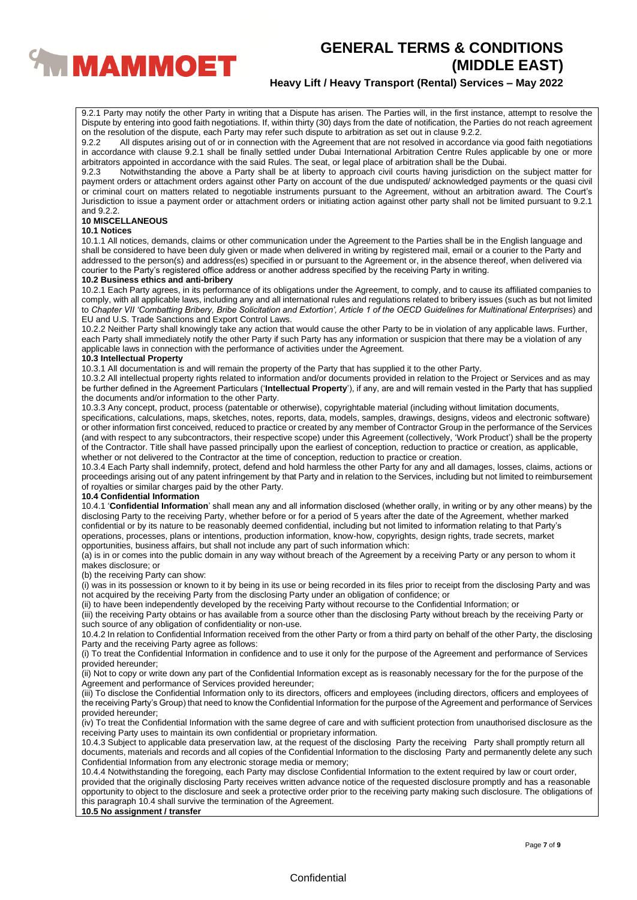

## **Heavy Lift / Heavy Transport (Rental) Services – May 2022**

9.2.1 Party may notify the other Party in writing that a Dispute has arisen. The Parties will, in the first instance, attempt to resolve the Dispute by entering into good faith negotiations. If, within thirty (30) days from the date of notification, the Parties do not reach agreement on the resolution of the dispute, each Party may refer such dispute to arbitration as set out in clause 9.2.2.

9.2.2 All disputes arising out of or in connection with the Agreement that are not resolved in accordance via good faith negotiations in accordance with clause 9.2.1 shall be finally settled under Dubai International Arbitration Centre Rules applicable by one or more arbitrators appointed in accordance with the said Rules. The seat, or legal place of arbitration shall be the Dubai.<br>9.2.3 Motwithstanding the above a Party shall be at liberty to approach civil courts having jurisdiction

Notwithstanding the above a Party shall be at liberty to approach civil courts having jurisdiction on the subject matter for payment orders or attachment orders against other Party on account of the due undisputed/ acknowledged payments or the quasi civil or criminal court on matters related to negotiable instruments pursuant to the Agreement, without an arbitration award. The Court's Jurisdiction to issue a payment order or attachment orders or initiating action against other party shall not be limited pursuant to 9.2.1 and 9.2.2

#### **10 MISCELLANEOUS**

#### **10.1 Notices**

10.1.1 All notices, demands, claims or other communication under the Agreement to the Parties shall be in the English language and shall be considered to have been duly given or made when delivered in writing by registered mail, email or a courier to the Party and addressed to the person(s) and address(es) specified in or pursuant to the Agreement or, in the absence thereof, when delivered via courier to the Party's registered office address or another address specified by the receiving Party in writing.

#### **10.2 Business ethics and anti-bribery**

10.2.1 Each Party agrees, in its performance of its obligations under the Agreement, to comply, and to cause its affiliated companies to comply, with all applicable laws, including any and all international rules and regulations related to bribery issues (such as but not limited to *Chapter VII 'Combatting Bribery, Bribe Solicitation and Extortion', Article 1 of the OECD Guidelines for Multinational Enterprises*) and EU and U.S. Trade Sanctions and Export Control Laws.

10.2.2 Neither Party shall knowingly take any action that would cause the other Party to be in violation of any applicable laws. Further, each Party shall immediately notify the other Party if such Party has any information or suspicion that there may be a violation of any applicable laws in connection with the performance of activities under the Agreement.

#### **10.3 Intellectual Property**

10.3.1 All documentation is and will remain the property of the Party that has supplied it to the other Party.

10.3.2 All intellectual property rights related to information and/or documents provided in relation to the Project or Services and as may be further defined in the Agreement Particulars ('**Intellectual Property**'), if any, are and will remain vested in the Party that has supplied the documents and/or information to the other Party.

10.3.3 Any concept, product, process (patentable or otherwise), copyrightable material (including without limitation documents, specifications, calculations, maps, sketches, notes, reports, data, models, samples, drawings, designs, videos and electronic software) or other information first conceived, reduced to practice or created by any member of Contractor Group in the performance of the Services (and with respect to any subcontractors, their respective scope) under this Agreement (collectively, 'Work Product') shall be the property of the Contractor. Title shall have passed principally upon the earliest of conception, reduction to practice or creation, as applicable, whether or not delivered to the Contractor at the time of conception, reduction to practice or creation.

10.3.4 Each Party shall indemnify, protect, defend and hold harmless the other Party for any and all damages, losses, claims, actions or proceedings arising out of any patent infringement by that Party and in relation to the Services, including but not limited to reimbursement of royalties or similar charges paid by the other Party.

## **10.4 Confidential Information**

10.4.1 '**Confidential Information**' shall mean any and all information disclosed (whether orally, in writing or by any other means) by the disclosing Party to the receiving Party, whether before or for a period of 5 years after the date of the Agreement, whether marked confidential or by its nature to be reasonably deemed confidential, including but not limited to information relating to that Party's operations, processes, plans or intentions, production information, know-how, copyrights, design rights, trade secrets, market opportunities, business affairs, but shall not include any part of such information which:

(a) is in or comes into the public domain in any way without breach of the Agreement by a receiving Party or any person to whom it makes disclosure; or

(b) the receiving Party can show:

(i) was in its possession or known to it by being in its use or being recorded in its files prior to receipt from the disclosing Party and was not acquired by the receiving Party from the disclosing Party under an obligation of confidence; or

(ii) to have been independently developed by the receiving Party without recourse to the Confidential Information; or

(iii) the receiving Party obtains or has available from a source other than the disclosing Party without breach by the receiving Party or such source of any obligation of confidentiality or non-use.

10.4.2 In relation to Confidential Information received from the other Party or from a third party on behalf of the other Party, the disclosing Party and the receiving Party agree as follows:

(i) To treat the Confidential Information in confidence and to use it only for the purpose of the Agreement and performance of Services provided hereunder;

(ii) Not to copy or write down any part of the Confidential Information except as is reasonably necessary for the for the purpose of the Agreement and performance of Services provided hereunder;

(iii) To disclose the Confidential Information only to its directors, officers and employees (including directors, officers and employees of the receiving Party's Group) that need to know the Confidential Information for the purpose of the Agreement and performance of Services provided hereunder;

(iv) To treat the Confidential Information with the same degree of care and with sufficient protection from unauthorised disclosure as the receiving Party uses to maintain its own confidential or proprietary information.

10.4.3 Subject to applicable data preservation law, at the request of the disclosing Party the receiving Party shall promptly return all documents, materials and records and all copies of the Confidential Information to the disclosing Party and permanently delete any such Confidential Information from any electronic storage media or memory;

10.4.4 Notwithstanding the foregoing, each Party may disclose Confidential Information to the extent required by law or court order, provided that the originally disclosing Party receives written advance notice of the requested disclosure promptly and has a reasonable opportunity to object to the disclosure and seek a protective order prior to the receiving party making such disclosure. The obligations of this paragraph 10.4 shall survive the termination of the Agreement.

**10.5 No assignment / transfer**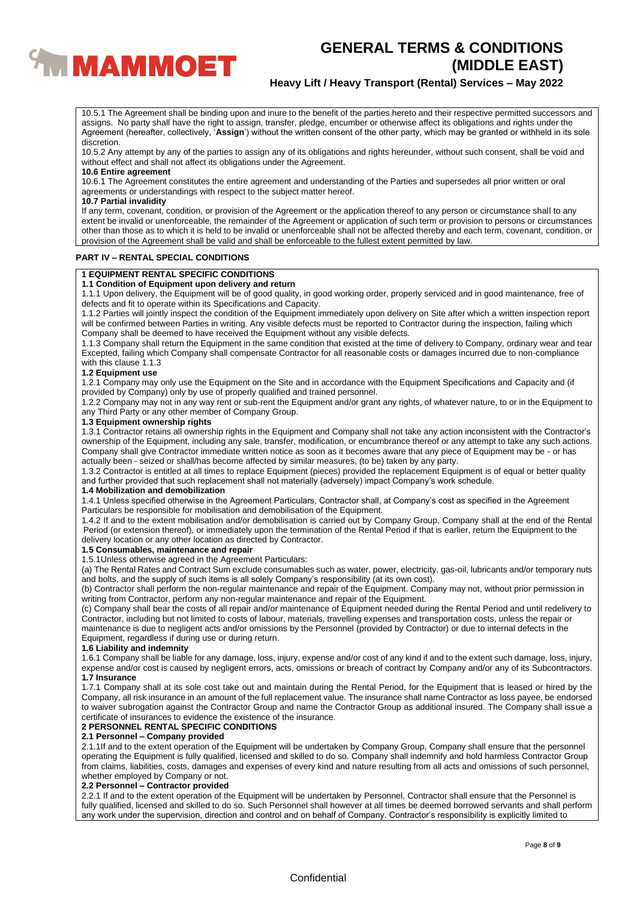

## **Heavy Lift / Heavy Transport (Rental) Services – May 2022**

10.5.1 The Agreement shall be binding upon and inure to the benefit of the parties hereto and their respective permitted successors and assigns. No party shall have the right to assign, transfer, pledge, encumber or otherwise affect its obligations and rights under the Agreement (hereafter, collectively, '**Assign**') without the written consent of the other party, which may be granted or withheld in its sole discretion.

10.5.2 Any attempt by any of the parties to assign any of its obligations and rights hereunder, without such consent, shall be void and without effect and shall not affect its obligations under the Agreement.

### **10.6 Entire agreement**

10.6.1 The Agreement constitutes the entire agreement and understanding of the Parties and supersedes all prior written or oral agreements or understandings with respect to the subject matter hereof.

#### **10.7 Partial invalidity**

If any term, covenant, condition, or provision of the Agreement or the application thereof to any person or circumstance shall to any extent be invalid or unenforceable, the remainder of the Agreement or application of such term or provision to persons or circumstances other than those as to which it is held to be invalid or unenforceable shall not be affected thereby and each term, covenant, condition, or provision of the Agreement shall be valid and shall be enforceable to the fullest extent permitted by law.

#### **PART IV – RENTAL SPECIAL CONDITIONS**

## **1 EQUIPMENT RENTAL SPECIFIC CONDITIONS**

#### **1.1 Condition of Equipment upon delivery and return**

1.1.1 Upon delivery, the Equipment will be of good quality, in good working order, properly serviced and in good maintenance, free of defects and fit to operate within its Specifications and Capacity.

1.1.2 Parties will jointly inspect the condition of the Equipment immediately upon delivery on Site after which a written inspection report will be confirmed between Parties in writing. Any visible defects must be reported to Contractor during the inspection, failing which Company shall be deemed to have received the Equipment without any visible defects.

1.1.3 Company shall return the Equipment in the same condition that existed at the time of delivery to Company, ordinary wear and tear Excepted, failing which Company shall compensate Contractor for all reasonable costs or damages incurred due to non-compliance with this clause 1.1.3

#### **1.2 Equipment use**

1.2.1 Company may only use the Equipment on the Site and in accordance with the Equipment Specifications and Capacity and (if provided by Company) only by use of properly qualified and trained personnel.

1.2.2 Company may not in any way rent or sub-rent the Equipment and/or grant any rights, of whatever nature, to or in the Equipment to any Third Party or any other member of Company Group.

#### **1.3 Equipment ownership rights**

1.3.1 Contractor retains all ownership rights in the Equipment and Company shall not take any action inconsistent with the Contractor's ownership of the Equipment, including any sale, transfer, modification, or encumbrance thereof or any attempt to take any such actions. Company shall give Contractor immediate written notice as soon as it becomes aware that any piece of Equipment may be - or has actually been - seized or shall/has become affected by similar measures, (to be) taken by any party.

1.3.2 Contractor is entitled at all times to replace Equipment (pieces) provided the replacement Equipment is of equal or better quality and further provided that such replacement shall not materially (adversely) impact Company's work schedule.

#### **1.4 Mobilization and demobilization**

1.4.1 Unless specified otherwise in the Agreement Particulars, Contractor shall, at Company's cost as specified in the Agreement Particulars be responsible for mobilisation and demobilisation of the Equipment.

1.4.2 If and to the extent mobilisation and/or demobilisation is carried out by Company Group, Company shall at the end of the Rental Period (or extension thereof), or immediately upon the termination of the Rental Period if that is earlier, return the Equipment to the delivery location or any other location as directed by Contractor.

### **1.5 Consumables, maintenance and repair**

1.5.1Unless otherwise agreed in the Agreement Particulars:

(a) The Rental Rates and Contract Sum exclude consumables such as water, power, electricity, gas-oil, lubricants and/or temporary nuts and bolts, and the supply of such items is all solely Company's responsibility (at its own cost).

(b) Contractor shall perform the non-regular maintenance and repair of the Equipment. Company may not, without prior permission in writing from Contractor, perform any non-regular maintenance and repair of the Equipment.

(c) Company shall bear the costs of all repair and/or maintenance of Equipment needed during the Rental Period and until redelivery to Contractor, including but not limited to costs of labour, materials, travelling expenses and transportation costs, unless the repair or maintenance is due to negligent acts and/or omissions by the Personnel (provided by Contractor) or due to internal defects in the Equipment, regardless if during use or during return.

#### **1.6 Liability and indemnity**

1.6.1 Company shall be liable for any damage, loss, injury, expense and/or cost of any kind if and to the extent such damage, loss, injury, expense and/or cost is caused by negligent errors, acts, omissions or breach of contract by Company and/or any of its Subcontractors. **1.7 Insurance**

1.7.1 Company shall at its sole cost take out and maintain during the Rental Period, for the Equipment that is leased or hired by the Company, all risk insurance in an amount of the full replacement value. The insurance shall name Contractor as loss payee, be endorsed to waiver subrogation against the Contractor Group and name the Contractor Group as additional insured. The Company shall issue a certificate of insurances to evidence the existence of the insurance.

#### **2 PERSONNEL RENTAL SPECIFIC CONDITIONS**

#### **2.1 Personnel – Company provided**

2.1.1If and to the extent operation of the Equipment will be undertaken by Company Group, Company shall ensure that the personnel operating the Equipment is fully qualified, licensed and skilled to do so. Company shall indemnify and hold harmless Contractor Group from claims, liabilities, costs, damages and expenses of every kind and nature resulting from all acts and omissions of such personnel, whether employed by Company or not.

#### **2.2 Personnel – Contractor provided**

2.2.1 If and to the extent operation of the Equipment will be undertaken by Personnel, Contractor shall ensure that the Personnel is fully qualified, licensed and skilled to do so. Such Personnel shall however at all times be deemed borrowed servants and shall perform any work under the supervision, direction and control and on behalf of Company. Contractor's responsibility is explicitly limited to

### **Confidential**